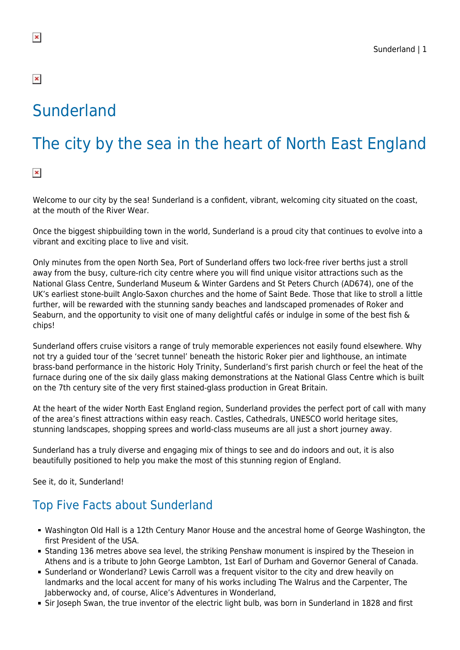# Sunderland

# The city by the sea in the heart of North East England

 $\pmb{\times}$ 

Welcome to our city by the sea! Sunderland is a confident, vibrant, welcoming city situated on the coast, at the mouth of the River Wear.

Once the biggest shipbuilding town in the world, Sunderland is a proud city that continues to evolve into a vibrant and exciting place to live and visit.

Only minutes from the open North Sea, Port of Sunderland offers two lock-free river berths just a stroll away from the busy, culture-rich city centre where you will find unique visitor attractions such as the National Glass Centre, Sunderland Museum & Winter Gardens and St Peters Church (AD674), one of the UK's earliest stone-built Anglo-Saxon churches and the home of Saint Bede. Those that like to stroll a little further, will be rewarded with the stunning sandy beaches and landscaped promenades of Roker and Seaburn, and the opportunity to visit one of many delightful cafés or indulge in some of the best fish & chips!

Sunderland offers cruise visitors a range of truly memorable experiences not easily found elsewhere. Why not try a guided tour of the 'secret tunnel' beneath the historic Roker pier and lighthouse, an intimate brass-band performance in the historic Holy Trinity, Sunderland's first parish church or feel the heat of the furnace during one of the six daily glass making demonstrations at the National Glass Centre which is built on the 7th century site of the very first stained-glass production in Great Britain.

At the heart of the wider North East England region, Sunderland provides the perfect port of call with many of the area's finest attractions within easy reach. Castles, Cathedrals, UNESCO world heritage sites, stunning landscapes, shopping sprees and world-class museums are all just a short journey away.

Sunderland has a truly diverse and engaging mix of things to see and do indoors and out, it is also beautifully positioned to help you make the most of this stunning region of England.

See it, do it, Sunderland!

## Top Five Facts about Sunderland

- Washington Old Hall is a 12th Century Manor House and the ancestral home of George Washington, the first President of the USA.
- Standing 136 metres above sea level, the striking Penshaw monument is inspired by the Theseion in Athens and is a tribute to John George Lambton, 1st Earl of Durham and Governor General of Canada.
- Sunderland or Wonderland? Lewis Carroll was a frequent visitor to the city and drew heavily on landmarks and the local accent for many of his works including The Walrus and the Carpenter, The Jabberwocky and, of course, Alice's Adventures in Wonderland,
- Sir Joseph Swan, the true inventor of the electric light bulb, was born in Sunderland in 1828 and first

 $\pmb{\times}$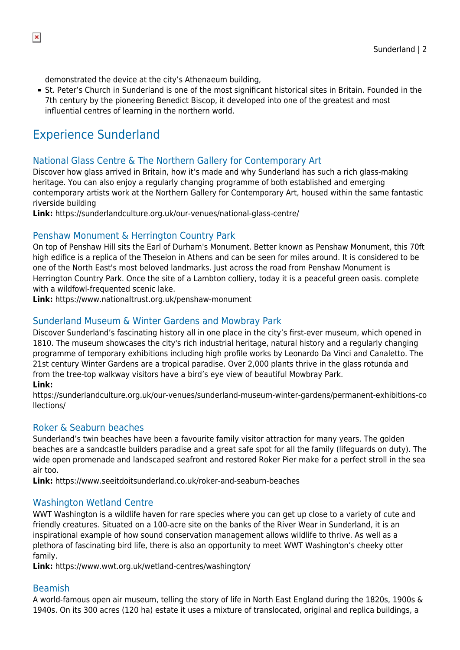demonstrated the device at the city's Athenaeum building,

St. Peter's Church in Sunderland is one of the most significant historical sites in Britain. Founded in the 7th century by the pioneering Benedict Biscop, it developed into one of the greatest and most influential centres of learning in the northern world.

## Experience Sunderland

#### National Glass Centre & The Northern Gallery for Contemporary Art

Discover how glass arrived in Britain, how it's made and why Sunderland has such a rich glass-making heritage. You can also enjoy a regularly changing programme of both established and emerging contemporary artists work at the Northern Gallery for Contemporary Art, housed within the same fantastic riverside building

**Link:** https://sunderlandculture.org.uk/our-venues/national-glass-centre/

#### Penshaw Monument & Herrington Country Park

On top of Penshaw Hill sits the Earl of Durham's Monument. Better known as Penshaw Monument, this 70ft high edifice is a replica of the Theseion in Athens and can be seen for miles around. It is considered to be one of the North East's most beloved landmarks. Just across the road from Penshaw Monument is Herrington Country Park. Once the site of a Lambton colliery, today it is a peaceful green oasis. complete with a wildfowl-frequented scenic lake.

**Link:** https://www.nationaltrust.org.uk/penshaw-monument

#### Sunderland Museum & Winter Gardens and Mowbray Park

Discover Sunderland's fascinating history all in one place in the city's first-ever museum, which opened in 1810. The museum showcases the city's rich industrial heritage, natural history and a regularly changing programme of temporary exhibitions including high profile works by Leonardo Da Vinci and Canaletto. The 21st century Winter Gardens are a tropical paradise. Over 2,000 plants thrive in the glass rotunda and from the tree-top walkway visitors have a bird's eye view of beautiful Mowbray Park.

#### **Link:**

https://sunderlandculture.org.uk/our-venues/sunderland-museum-winter-gardens/permanent-exhibitions-co llections/

#### Roker & Seaburn beaches

Sunderland's twin beaches have been a favourite family visitor attraction for many years. The golden beaches are a sandcastle builders paradise and a great safe spot for all the family (lifeguards on duty). The wide open promenade and landscaped seafront and restored Roker Pier make for a perfect stroll in the sea air too.

**Link:** https://www.seeitdoitsunderland.co.uk/roker-and-seaburn-beaches

#### Washington Wetland Centre

WWT Washington is a wildlife haven for rare species where you can get up close to a variety of cute and friendly creatures. Situated on a 100-acre site on the banks of the River Wear in Sunderland, it is an inspirational example of how sound conservation management allows wildlife to thrive. As well as a plethora of fascinating bird life, there is also an opportunity to meet WWT Washington's cheeky otter family.

**Link:** https://www.wwt.org.uk/wetland-centres/washington/

#### Beamish

A world-famous open air museum, telling the story of life in North East England during the 1820s, 1900s & 1940s. On its 300 acres (120 ha) estate it uses a mixture of translocated, original and replica buildings, a

 $\pmb{\times}$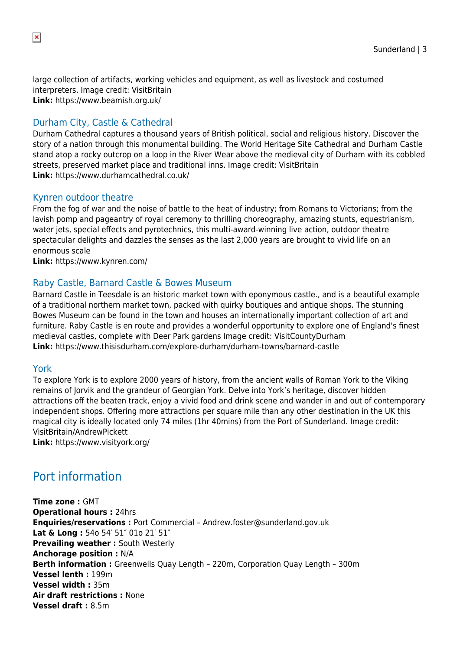large collection of artifacts, working vehicles and equipment, as well as livestock and costumed interpreters. Image credit: VisitBritain **Link:** https://www.beamish.org.uk/

#### Durham City, Castle & Cathedral

Durham Cathedral captures a thousand years of British political, social and religious history. Discover the story of a nation through this monumental building. The World Heritage Site Cathedral and Durham Castle stand atop a rocky outcrop on a loop in the River Wear above the medieval city of Durham with its cobbled streets, preserved market place and traditional inns. Image credit: VisitBritain **Link:** https://www.durhamcathedral.co.uk/

#### Kynren outdoor theatre

From the fog of war and the noise of battle to the heat of industry; from Romans to Victorians; from the lavish pomp and pageantry of royal ceremony to thrilling choreography, amazing stunts, equestrianism, water jets, special effects and pyrotechnics, this multi-award-winning live action, outdoor theatre spectacular delights and dazzles the senses as the last 2,000 years are brought to vivid life on an enormous scale

**Link:** https://www.kynren.com/

#### Raby Castle, Barnard Castle & Bowes Museum

Barnard Castle in Teesdale is an historic market town with eponymous castle., and is a beautiful example of a traditional northern market town, packed with quirky boutiques and antique shops. The stunning Bowes Museum can be found in the town and houses an internationally important collection of art and furniture. Raby Castle is en route and provides a wonderful opportunity to explore one of England's finest medieval castles, complete with Deer Park gardens Image credit: VisitCountyDurham **Link:** https://www.thisisdurham.com/explore-durham/durham-towns/barnard-castle

#### York

To explore York is to explore 2000 years of history, from the ancient walls of Roman York to the Viking remains of Jorvik and the grandeur of Georgian York. Delve into York's heritage, discover hidden attractions off the beaten track, enjoy a vivid food and drink scene and wander in and out of contemporary independent shops. Offering more attractions per square mile than any other destination in the UK this magical city is ideally located only 74 miles (1hr 40mins) from the Port of Sunderland. Image credit: VisitBritain/AndrewPickett

**Link:** https://www.visityork.org/

## Port information

**Time zone :** GMT **Operational hours :** 24hrs **Enquiries/reservations :** Port Commercial – Andrew.foster@sunderland.gov.uk **Lat & Long :** 54o 54′ 51″ 01o 21′ 51″ **Prevailing weather: South Westerly Anchorage position :** N/A **Berth information :** Greenwells Quay Length – 220m, Corporation Quay Length – 300m **Vessel lenth :** 199m **Vessel width :** 35m **Air draft restrictions :** None **Vessel draft :** 8.5m

 $\pmb{\times}$